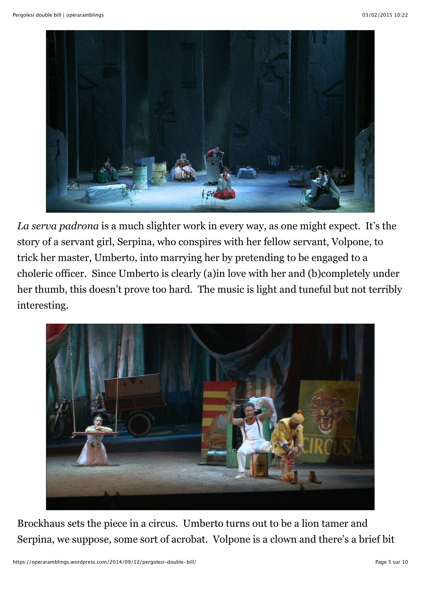

*La serva padrona* is a much slighter work in every way, as one might expect. It's the story of a servant girl, Serpina, who conspires with her fellow servant, Volpone, to trick her master, Umberto, into marrying her by pretending to be engaged to a choleric officer. Since Umberto is clearly (a)in love with her and (b)completely under her thumb, this doesn't prove too hard. The music is light and tuneful but not terribly interesting.



Brockhaus sets the piece in a circus. Umberto turns out to be a lion tamer and Serpina, we suppose, some sort of acrobat. Volpone is a clown and there's a brief bit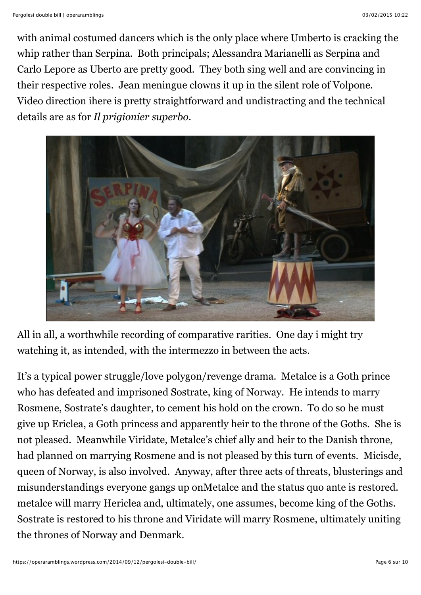with animal costumed dancers which is the only place where Umberto is cracking the whip rather than Serpina. Both principals; Alessandra Marianelli as Serpina and Carlo Lepore as Uberto are pretty good. They both sing well and are convincing in their respective roles. Jean meningue clowns it up in the silent role of Volpone. Video direction ihere is pretty straightforward and undistracting and the technical details are as for *Il prigionier superbo*.



All in all, a worthwhile recording of comparative rarities. One day i might try watching it, as intended, with the intermezzo in between the acts.

It's a typical power struggle/love polygon/revenge drama. Metalce is a Goth prince who has defeated and imprisoned Sostrate, king of Norway. He intends to marry Rosmene, Sostrate's daughter, to cement his hold on the crown. To do so he must give up Ericlea, a Goth princess and apparently heir to the throne of the Goths. She is not pleased. Meanwhile Viridate, Metalce's chief ally and heir to the Danish throne, had planned on marrying Rosmene and is not pleased by this turn of events. Micisde, queen of Norway, is also involved. Anyway, after three acts of threats, blusterings and misunderstandings everyone gangs up onMetalce and the status quo ante is restored. metalce will marry Hericlea and, ultimately, one assumes, become king of the Goths. Sostrate is restored to his throne and Viridate will marry Rosmene, ultimately uniting the thrones of Norway and Denmark.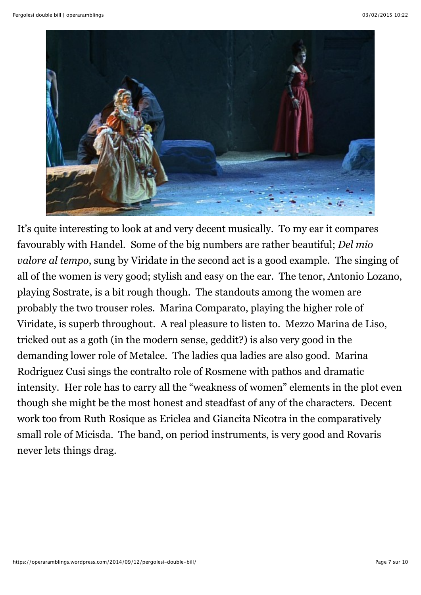

It's quite interesting to look at and very decent musically. To my ear it compares favourably with Handel. Some of the big numbers are rather beautiful; *Del mio valore al tempo*, sung by Viridate in the second act is a good example. The singing of all of the women is very good; stylish and easy on the ear. The tenor, Antonio Lozano, playing Sostrate, is a bit rough though. The standouts among the women are probably the two trouser roles. Marina Comparato, playing the higher role of Viridate, is superb throughout. A real pleasure to listen to. Mezzo Marina de Liso, tricked out as a goth (in the modern sense, geddit?) is also very good in the demanding lower role of Metalce. The ladies qua ladies are also good. Marina Rodriguez Cusi sings the contralto role of Rosmene with pathos and dramatic intensity. Her role has to carry all the "weakness of women" elements in the plot even though she might be the most honest and steadfast of any of the characters. Decent work too from Ruth Rosique as Ericlea and Giancita Nicotra in the comparatively small role of Micisda. The band, on period instruments, is very good and Rovaris never lets things drag.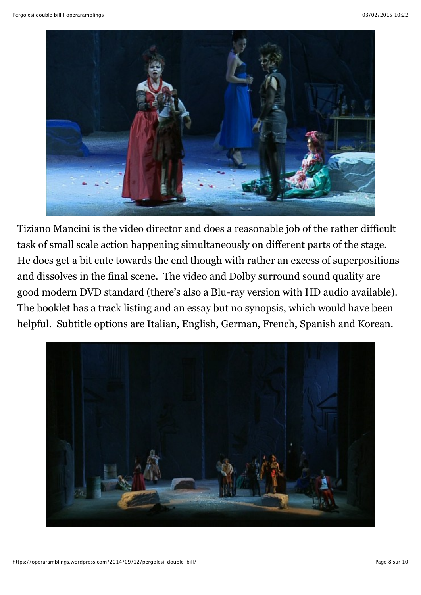

Tiziano Mancini is the video director and does a reasonable job of the rather difficult task of small scale action happening simultaneously on different parts of the stage. He does get a bit cute towards the end though with rather an excess of superpositions and dissolves in the final scene. The video and Dolby surround sound quality are good modern DVD standard (there's also a Blu-ray version with HD audio available). The booklet has a track listing and an essay but no synopsis, which would have been helpful. Subtitle options are Italian, English, German, French, Spanish and Korean.

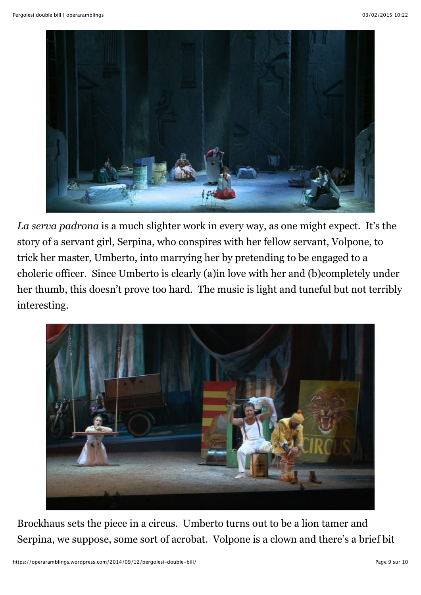

*La serva padrona* is a much slighter work in every way, as one might expect. It's the story of a servant girl, Serpina, who conspires with her fellow servant, Volpone, to trick her master, Umberto, into marrying her by pretending to be engaged to a choleric officer. Since Umberto is clearly (a)in love with her and (b)completely under her thumb, this doesn't prove too hard. The music is light and tuneful but not terribly interesting.



Brockhaus sets the piece in a circus. Umberto turns out to be a lion tamer and Serpina, we suppose, some sort of acrobat. Volpone is a clown and there's a brief bit